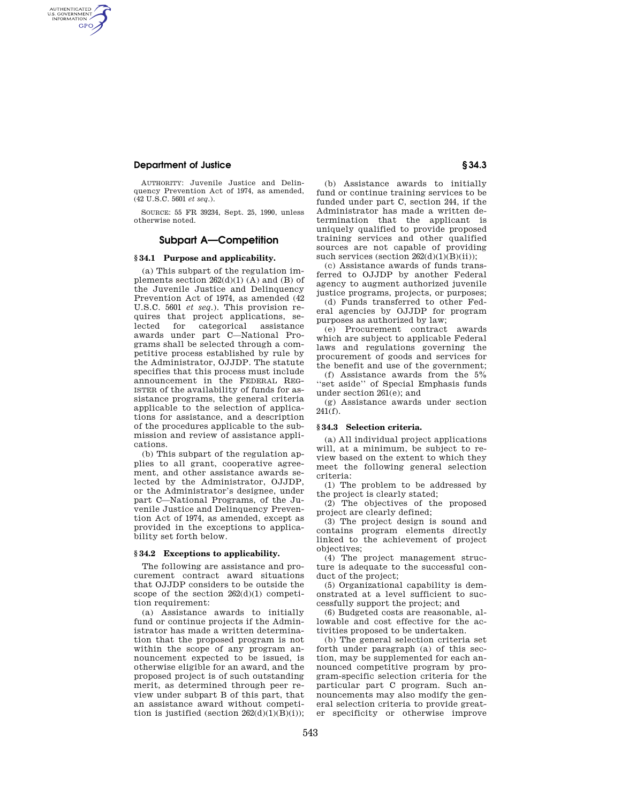## **Department of Justice § 34.3**

AUTHENTICATED<br>U.S. GOVERNMENT<br>INFORMATION **GPO** 

> AUTHORITY: Juvenile Justice and Delinquency Prevention Act of 1974, as amended, (42 U.S.C. 5601 *et seq*.).

> SOURCE: 55 FR 39234, Sept. 25, 1990, unless otherwise noted.

### **Subpart A—Competition**

## **§ 34.1 Purpose and applicability.**

(a) This subpart of the regulation implements section  $262(d)(1)$  (A) and (B) of the Juvenile Justice and Delinquency Prevention Act of 1974, as amended (42 U.S.C. 5601 *et seq*.). This provision requires that project applications, selected for categorical assistance awards under part C—National Programs shall be selected through a competitive process established by rule by the Administrator, OJJDP. The statute specifies that this process must include announcement in the FEDERAL REG-ISTER of the availability of funds for assistance programs, the general criteria applicable to the selection of applications for assistance, and a description of the procedures applicable to the submission and review of assistance applications.

(b) This subpart of the regulation applies to all grant, cooperative agreement, and other assistance awards selected by the Administrator, OJJDP, or the Administrator's designee, under part C—National Programs, of the Juvenile Justice and Delinquency Prevention Act of 1974, as amended, except as provided in the exceptions to applicability set forth below.

#### **§ 34.2 Exceptions to applicability.**

The following are assistance and procurement contract award situations that OJJDP considers to be outside the scope of the section  $262(d)(1)$  competition requirement:

(a) Assistance awards to initially fund or continue projects if the Administrator has made a written determination that the proposed program is not within the scope of any program announcement expected to be issued, is otherwise eligible for an award, and the proposed project is of such outstanding merit, as determined through peer review under subpart B of this part, that an assistance award without competition is justified (section  $262(d)(1)(B)(i)$ );

(b) Assistance awards to initially fund or continue training services to be funded under part C, section 244, if the Administrator has made a written determination that the applicant is uniquely qualified to provide proposed training services and other qualified sources are not capable of providing such services (section  $262(d)(1)(B)(ii)$ );

(c) Assistance awards of funds transferred to OJJDP by another Federal agency to augment authorized juvenile justice programs, projects, or purposes;

(d) Funds transferred to other Federal agencies by OJJDP for program purposes as authorized by law;

(e) Procurement contract awards which are subject to applicable Federal laws and regulations governing the procurement of goods and services for the benefit and use of the government;

(f) Assistance awards from the 5% 'set aside'' of Special Emphasis funds under section 261(e); and

(g) Assistance awards under section 241(f).

#### **§ 34.3 Selection criteria.**

(a) All individual project applications will, at a minimum, be subject to review based on the extent to which they meet the following general selection criteria:

(1) The problem to be addressed by the project is clearly stated;

(2) The objectives of the proposed project are clearly defined;

(3) The project design is sound and contains program elements directly linked to the achievement of project objectives;

(4) The project management structure is adequate to the successful conduct of the project;

(5) Organizational capability is demonstrated at a level sufficient to successfully support the project; and

(6) Budgeted costs are reasonable, allowable and cost effective for the activities proposed to be undertaken.

(b) The general selection criteria set forth under paragraph (a) of this section, may be supplemented for each announced competitive program by program-specific selection criteria for the particular part C program. Such announcements may also modify the general selection criteria to provide greater specificity or otherwise improve